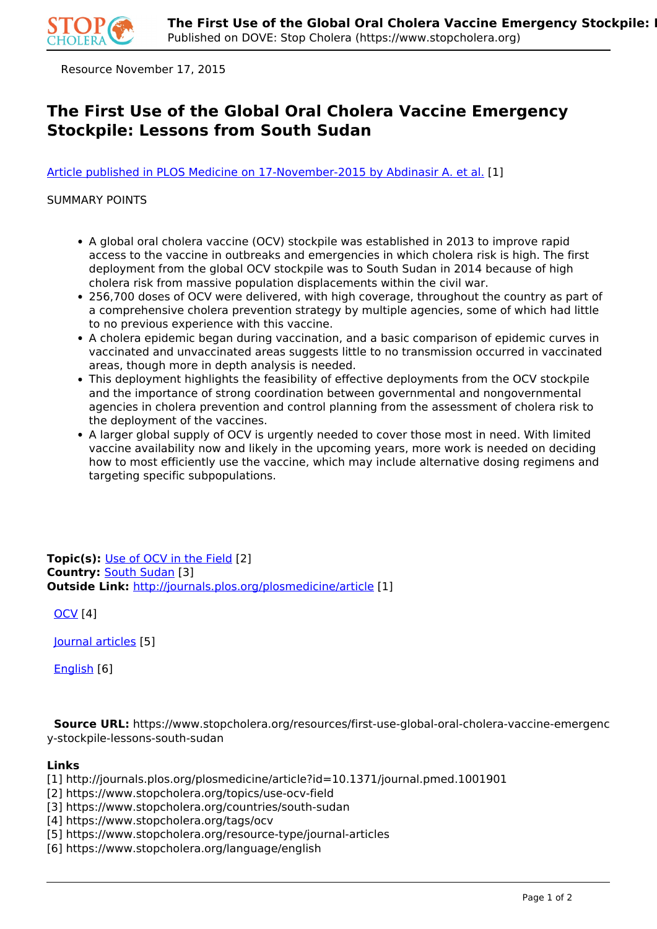

Resource November 17, 2015

## **The First Use of the Global Oral Cholera Vaccine Emergency Stockpile: Lessons from South Sudan**

[Article published in PLOS Medicine on 17-November-2015 by Abdinasir A. et al.](http://journals.plos.org/plosmedicine/article?id=10.1371/journal.pmed.1001901) [1]

## SUMMARY POINTS

- A global oral cholera vaccine (OCV) stockpile was established in 2013 to improve rapid access to the vaccine in outbreaks and emergencies in which cholera risk is high. The first deployment from the global OCV stockpile was to South Sudan in 2014 because of high cholera risk from massive population displacements within the civil war.
- 256,700 doses of OCV were delivered, with high coverage, throughout the country as part of a comprehensive cholera prevention strategy by multiple agencies, some of which had little to no previous experience with this vaccine.
- A cholera epidemic began during vaccination, and a basic comparison of epidemic curves in vaccinated and unvaccinated areas suggests little to no transmission occurred in vaccinated areas, though more in depth analysis is needed.
- This deployment highlights the feasibility of effective deployments from the OCV stockpile and the importance of strong coordination between governmental and nongovernmental agencies in cholera prevention and control planning from the assessment of cholera risk to the deployment of the vaccines.
- A larger global supply of OCV is urgently needed to cover those most in need. With limited vaccine availability now and likely in the upcoming years, more work is needed on deciding how to most efficiently use the vaccine, which may include alternative dosing regimens and targeting specific subpopulations.

**Topic(s):** Use of OCV in the Field [2] **Country:** South Sudan [3] **Outside Link:** http://journals.plos.org/plosmedicine/article [1]

OCV [4]

Journal articles [5]

English [6]

 **Source URL:** https://www.stopcholera.org/resources/first-use-global-oral-cholera-vaccine-emergenc y-stockpile-lessons-south-sudan

## **Links**

[1] http://journals.plos.org/plosmedicine/article?id=10.1371/journal.pmed.1001901

[2] https://www.stopcholera.org/topics/use-ocv-field

[3] https://www.stopcholera.org/countries/south-sudan

[4] https://www.stopcholera.org/tags/ocv

[5] https://www.stopcholera.org/resource-type/journal-articles

[6] https://www.stopcholera.org/language/english